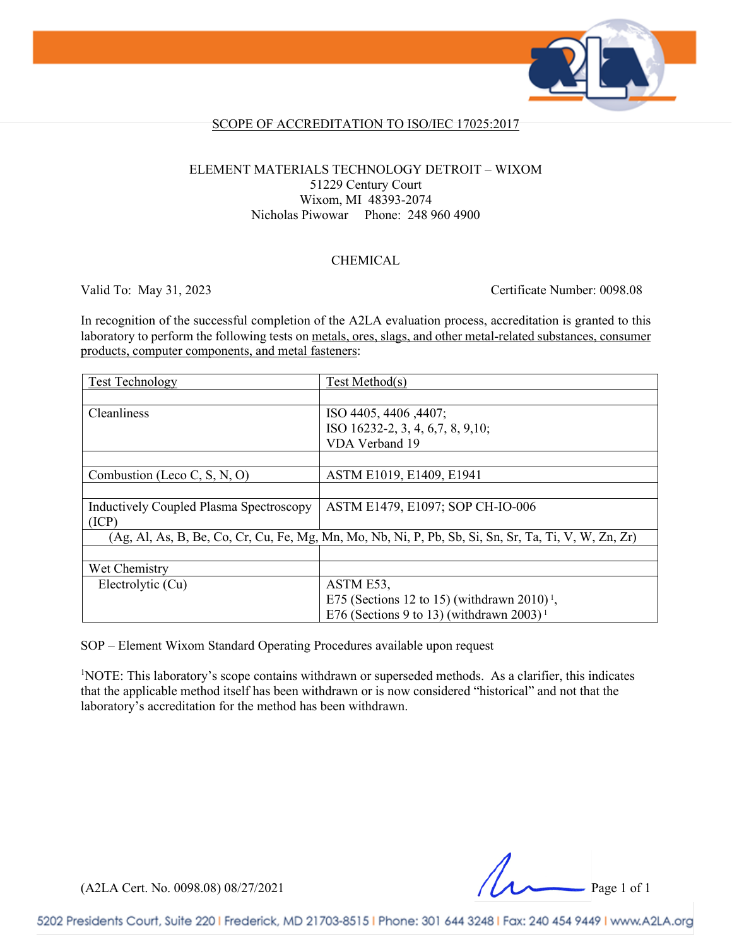

### SCOPE OF ACCREDITATION TO ISO/IEC 17025:2017

#### ELEMENT MATERIALS TECHNOLOGY DETROIT – WIXOM 51229 Century Court Wixom, MI 48393-2074 Nicholas Piwowar Phone: 248 960 4900

### CHEMICAL

Valid To: May 31, 2023 Certificate Number: 0098.08

In recognition of the successful completion of the A2LA evaluation process, accreditation is granted to this laboratory to perform the following tests on metals, ores, slags, and other metal-related substances, consumer products, computer components, and metal fasteners:

| <b>Test Technology</b>                                                                               | Test Method(s)                                          |
|------------------------------------------------------------------------------------------------------|---------------------------------------------------------|
|                                                                                                      |                                                         |
| Cleanliness                                                                                          | ISO 4405, 4406, 4407;                                   |
|                                                                                                      | ISO 16232-2, 3, 4, 6, 7, 8, 9, 10;                      |
|                                                                                                      | VDA Verband 19                                          |
|                                                                                                      |                                                         |
| Combustion (Leco C, S, N, O)                                                                         | ASTM E1019, E1409, E1941                                |
|                                                                                                      |                                                         |
| <b>Inductively Coupled Plasma Spectroscopy</b>                                                       | ASTM E1479, E1097; SOP CH-IO-006                        |
| (ICP)                                                                                                |                                                         |
| (Ag, Al, As, B, Be, Co, Cr, Cu, Fe, Mg, Mn, Mo, Nb, Ni, P, Pb, Sb, Si, Sn, Sr, Ta, Ti, V, W, Zn, Zr) |                                                         |
|                                                                                                      |                                                         |
| Wet Chemistry                                                                                        |                                                         |
| Electrolytic (Cu)                                                                                    | ASTM E53,                                               |
|                                                                                                      | E75 (Sections 12 to 15) (withdrawn 2010) <sup>1</sup> , |
|                                                                                                      | E76 (Sections 9 to 13) (withdrawn 2003) <sup>1</sup>    |

SOP – Element Wixom Standard Operating Procedures available upon request

<sup>1</sup>NOTE: This laboratory's scope contains withdrawn or superseded methods. As a clarifier, this indicates that the applicable method itself has been withdrawn or is now considered "historical" and not that the laboratory's accreditation for the method has been withdrawn.

(A2LA Cert. No. 0098.08) 08/27/2021 Page 1 of 1

5202 Presidents Court, Suite 220 | Frederick, MD 21703-8515 | Phone: 301 644 3248 | Fax: 240 454 9449 | www.A2LA.org